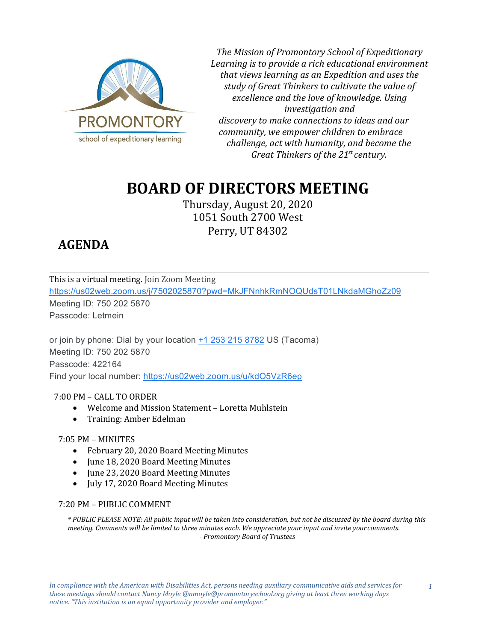

*The Mission of Promontory School of Expeditionary Learning is to provide a rich educational environment that views learning as an Expedition and uses the study of Great Thinkers to cultivate the value of excellence and the love of knowledge. Using investigation and discovery to make connections to ideas and our community, we empower children to embrace challenge, act with humanity, and become the Great Thinkers of the 21st century.*

# **BOARD OF DIRECTORS MEETING**

Thursday, August 20, 2020 1051 South 2700 West Perry, UT 84302

# **AGENDA**

This is a virtual meeting. Join Zoom Meeting <https://us02web.zoom.us/j/7502025870?pwd=MkJFNnhkRmNOQUdsT01LNkdaMGhoZz09> Meeting ID: 750 202 5870 Passcode: Letmein

or join by phone: Dial by your location [+1 253 215 8782](tel:+1%20253%20215%208782) US (Tacoma) Meeting ID: 750 202 5870 Passcode: 422164 Find your local number:<https://us02web.zoom.us/u/kdO5VzR6ep>

## 7:00 PM – CALL TO ORDER

- Welcome and Mission Statement Loretta Muhlstein
- Training: Amber Edelman

## 7:05 PM – MINUTES

- February 20, 2020 Board Meeting Minutes
- June 18, 2020 Board Meeting Minutes
- June 23, 2020 Board Meeting Minutes
- July 17, 2020 Board Meeting Minutes

#### 7:20 PM – PUBLIC COMMENT

*\* PUBLIC PLEASE NOTE: All public input will be taken into consideration, but not be discussed by the board during this meeting. Comments will be limited to three minutes each. We appreciate your input and invite yourcomments. - Promontory Board of Trustees*